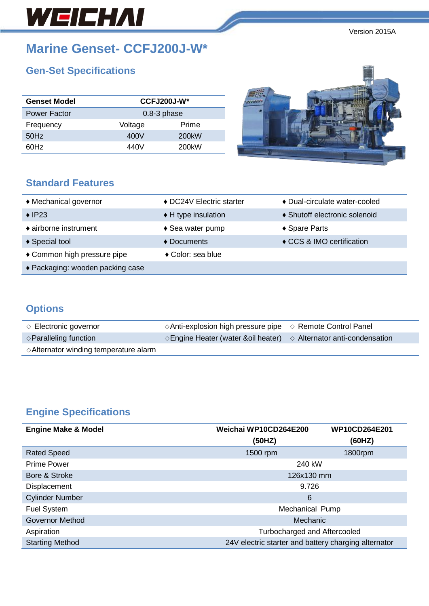# WEICHAI

Version 2015A

### **Marine Genset- CCFJ200J-W\***

### **Gen-Set Specifications**

| <b>Genset Model</b> |                 | $CCFJ200J-W*$      |  |
|---------------------|-----------------|--------------------|--|
| <b>Power Factor</b> | $0.8 - 3$ phase |                    |  |
| Frequency           | Voltage         | Prime              |  |
| 50Hz                | 400V            | 200 <sub>k</sub> W |  |
| 60Hz                | 440V            | 200 <sub>k</sub> W |  |

♦ Common high pressure pipe **♦** Color: sea blue

### **Standard Feature**

♦ Packaging: wooden packing case

| <b>Standard Features</b> |                          |                               |
|--------------------------|--------------------------|-------------------------------|
| ♦ Mechanical governor    | ◆ DC24V Electric starter | ◆ Dual-circulate water-cooled |

- ♦ IP23 ♦ H type insulation ♦ Shutoff electronic solenoid
- ♦ airborne instrument ♦ Sea water pump ♦ Spare Parts
- ♦ Special tool ♦ Documents ♦ CCS & IMO certification

## **Options**

| $\Diamond$ Electronic governor                  | $\Diamond$ Anti-explosion high pressure pipe $\Diamond$ Remote Control Panel          |  |
|-------------------------------------------------|---------------------------------------------------------------------------------------|--|
| $\Diamond$ Paralleling function                 | $\Diamond$ Engine Heater (water & oil heater) $\Diamond$ Alternator anti-condensation |  |
| $\Diamond$ Alternator winding temperature alarm |                                                                                       |  |

### **Engine Specifications**

| <b>Engine Make &amp; Model</b> | Weichai WP10CD264E200                                | <b>WP10CD264E201</b> |  |
|--------------------------------|------------------------------------------------------|----------------------|--|
|                                | (50HZ)                                               | (60HZ)               |  |
| <b>Rated Speed</b>             | 1500 rpm                                             | 1800rpm              |  |
| <b>Prime Power</b>             | 240 kW                                               |                      |  |
| Bore & Stroke                  | 126x130 mm                                           |                      |  |
| <b>Displacement</b>            | 9.726                                                |                      |  |
| <b>Cylinder Number</b>         | 6                                                    |                      |  |
| <b>Fuel System</b>             | Mechanical Pump                                      |                      |  |
| <b>Governor Method</b>         | Mechanic                                             |                      |  |
| Aspiration                     | Turbocharged and Aftercooled                         |                      |  |
| <b>Starting Method</b>         | 24V electric starter and battery charging alternator |                      |  |